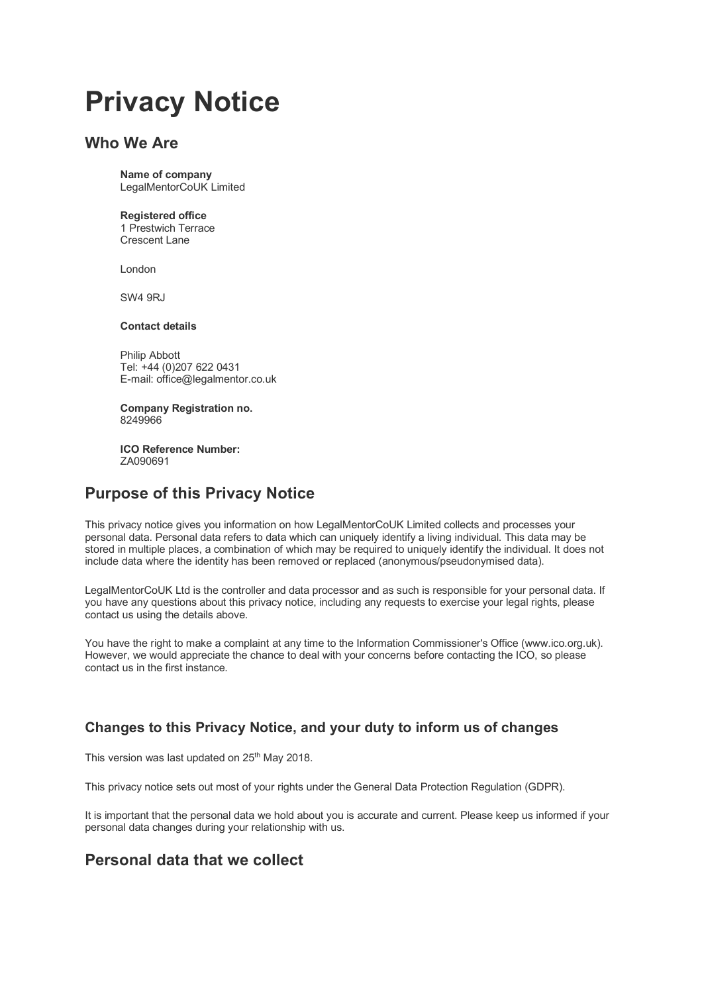# **Privacy Notice**

# **Who We Are**

**Name of company** LegalMentorCoUK Limited

### **Registered office**

1 Prestwich Terrace Crescent Lane

London

SW4 9RJ

### **Contact details**

Philip Abbott Tel: +44 (0)207 622 0431 E-mail: office@legalmentor.co.uk

**Company Registration no.** 8249966

**ICO Reference Number:** ZA090691

# **Purpose of this Privacy Notice**

This privacy notice gives you information on how LegalMentorCoUK Limited collects and processes your personal data. Personal data refers to data which can uniquely identify a living individual. This data may be stored in multiple places, a combination of which may be required to uniquely identify the individual. It does not include data where the identity has been removed or replaced (anonymous/pseudonymised data).

LegalMentorCoUK Ltd is the controller and data processor and as such is responsible for your personal data. If you have any questions about this privacy notice, including any requests to exercise your legal rights, please contact us using the details above.

You have the right to make a complaint at any time to the Information Commissioner's Office (www.ico.org.uk). However, we would appreciate the chance to deal with your concerns before contacting the ICO, so please contact us in the first instance.

# **Changes to this Privacy Notice, and your duty to inform us of changes**

This version was last updated on 25<sup>th</sup> May 2018.

This privacy notice sets out most of your rights under the General Data Protection Regulation (GDPR).

It is important that the personal data we hold about you is accurate and current. Please keep us informed if your personal data changes during your relationship with us.

# **Personal data that we collect**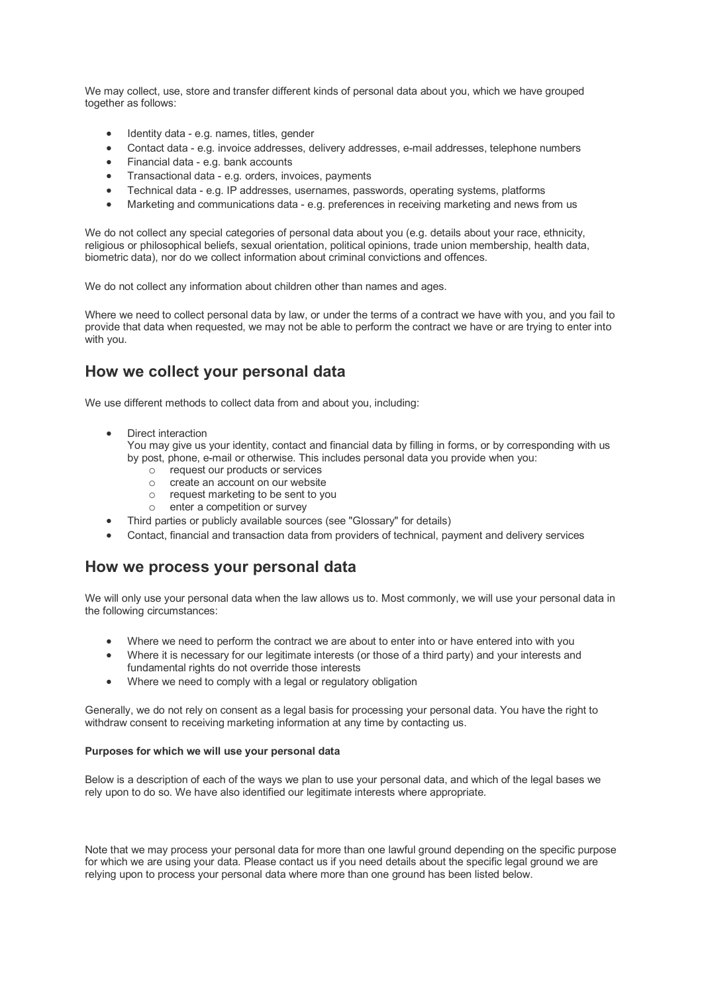We may collect, use, store and transfer different kinds of personal data about you, which we have grouped together as follows:

- Identity data e.g. names, titles, gender
- Contact data e.g. invoice addresses, delivery addresses, e-mail addresses, telephone numbers
- Financial data e.g. bank accounts
- Transactional data e.g. orders, invoices, payments
- Technical data e.g. IP addresses, usernames, passwords, operating systems, platforms
- Marketing and communications data e.g. preferences in receiving marketing and news from us

We do not collect any special categories of personal data about you (e.g. details about your race, ethnicity, religious or philosophical beliefs, sexual orientation, political opinions, trade union membership, health data, biometric data), nor do we collect information about criminal convictions and offences.

We do not collect any information about children other than names and ages.

Where we need to collect personal data by law, or under the terms of a contract we have with you, and you fail to provide that data when requested, we may not be able to perform the contract we have or are trying to enter into with you.

# **How we collect your personal data**

We use different methods to collect data from and about you, including:

• Direct interaction

You may give us your identity, contact and financial data by filling in forms, or by corresponding with us by post, phone, e-mail or otherwise. This includes personal data you provide when you:

- o request our products or services<br>
o create an account on our website
- create an account on our website
- $\circ$  request marketing to be sent to you<br>  $\circ$  enter a competition or survey
- enter a competition or survey
- Third parties or publicly available sources (see "Glossary" for details)
- Contact, financial and transaction data from providers of technical, payment and delivery services

### **How we process your personal data**

We will only use your personal data when the law allows us to. Most commonly, we will use your personal data in the following circumstances:

- Where we need to perform the contract we are about to enter into or have entered into with you
- Where it is necessary for our legitimate interests (or those of a third party) and your interests and fundamental rights do not override those interests
- Where we need to comply with a legal or regulatory obligation

Generally, we do not rely on consent as a legal basis for processing your personal data. You have the right to withdraw consent to receiving marketing information at any time by contacting us.

#### **Purposes for which we will use your personal data**

Below is a description of each of the ways we plan to use your personal data, and which of the legal bases we rely upon to do so. We have also identified our legitimate interests where appropriate.

Note that we may process your personal data for more than one lawful ground depending on the specific purpose for which we are using your data. Please contact us if you need details about the specific legal ground we are relying upon to process your personal data where more than one ground has been listed below.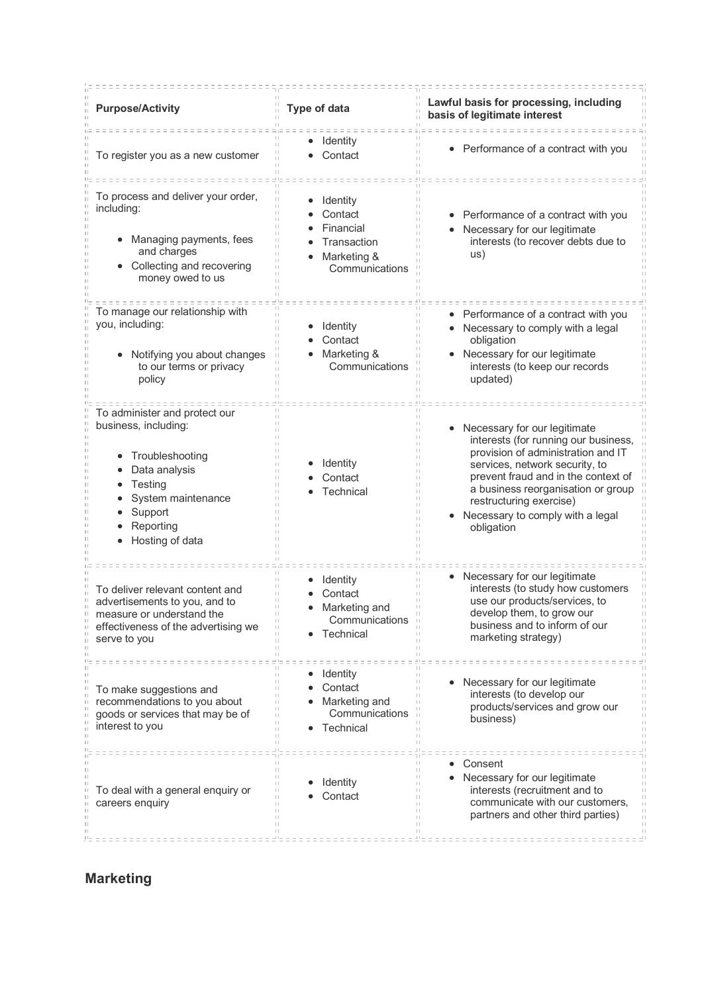| <b>Purpose/Activity</b>                                                                                                                                                    | <b>Type of data</b>                                                              | Lawful basis for processing, including<br>basis of legitimate interest                                                                                                                                                                                                                                 |
|----------------------------------------------------------------------------------------------------------------------------------------------------------------------------|----------------------------------------------------------------------------------|--------------------------------------------------------------------------------------------------------------------------------------------------------------------------------------------------------------------------------------------------------------------------------------------------------|
| To register you as a new customer                                                                                                                                          | Identity<br>Contact                                                              | • Performance of a contract with you                                                                                                                                                                                                                                                                   |
| To process and deliver your order,<br>including:<br>Managing payments, fees<br>and charges<br>• Collecting and recovering<br>money owed to us                              | Identity<br>Contact<br>Financial<br>Transaction<br>Marketing &<br>Communications | Performance of a contract with you<br>Necessary for our legitimate<br>interests (to recover debts due to<br>us)                                                                                                                                                                                        |
| To manage our relationship with<br>you, including:<br>Notifying you about changes<br>to our terms or privacy<br>policy                                                     | Identity<br>Contact<br>$\Box$<br>Marketing &<br>Communications                   | Performance of a contract with you<br>Necessary to comply with a legal<br>obligation<br>Necessary for our legitimate<br>interests (to keep our records<br>updated)                                                                                                                                     |
| To administer and protect our<br>business, including:<br>Troubleshooting<br>٠<br>Data analysis<br>Testing<br>System maintenance<br>Support<br>Reporting<br>Hosting of data | Identity<br>Contact<br>Technical                                                 | Necessary for our legitimate<br>interests (for running our business,<br>provision of administration and IT<br>services, network security, to<br>prevent fraud and in the context of<br>a business reorganisation or group<br>restructuring exercise)<br>Necessary to comply with a legal<br>obligation |
| To deliver relevant content and<br>advertisements to you, and to<br>measure or understand the<br>effectiveness of the advertising we<br>serve to you                       | Identity<br>Contact<br>Marketing and<br>Communications<br>Technical              | Necessary for our legitimate<br>interests (to study how customers<br>use our products/services, to<br>develop them, to grow our<br>business and to inform of our<br>marketing strategy)                                                                                                                |
| To make suggestions and<br>recommendations to you about<br>goods or services that may be of<br>interest to you                                                             | Identity<br>Contact<br>Marketing and<br>Communications<br>Technical              | Necessary for our legitimate<br>interests (to develop our<br>products/services and grow our<br>business)                                                                                                                                                                                               |
| To deal with a general enquiry or<br>careers enquiry                                                                                                                       | Identity<br>Contact                                                              | Consent<br>Necessary for our legitimate<br>interests (recruitment and to<br>communicate with our customers,<br>partners and other third parties)                                                                                                                                                       |

# **Marketing**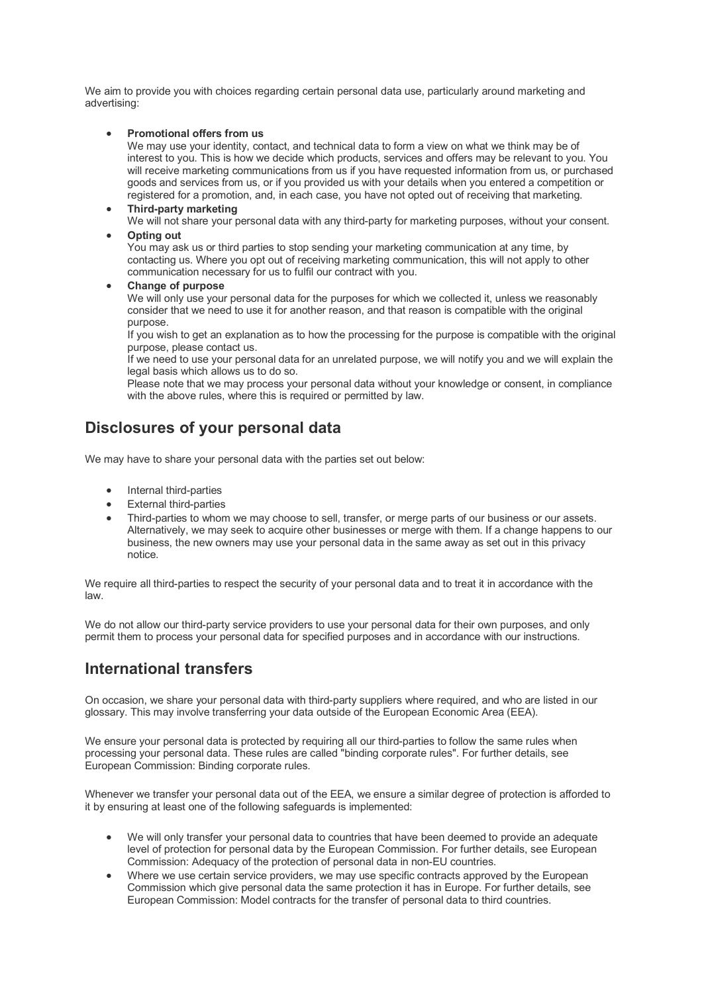We aim to provide you with choices regarding certain personal data use, particularly around marketing and advertising:

• **Promotional offers from us**

We may use your identity, contact, and technical data to form a view on what we think may be of interest to you. This is how we decide which products, services and offers may be relevant to you. You will receive marketing communications from us if you have requested information from us, or purchased goods and services from us, or if you provided us with your details when you entered a competition or registered for a promotion, and, in each case, you have not opted out of receiving that marketing.

- **Third-party marketing** We will not share your personal data with any third-party for marketing purposes, without your consent.
- **Opting out**

You may ask us or third parties to stop sending your marketing communication at any time, by contacting us. Where you opt out of receiving marketing communication, this will not apply to other communication necessary for us to fulfil our contract with you.

• **Change of purpose**

We will only use your personal data for the purposes for which we collected it, unless we reasonably consider that we need to use it for another reason, and that reason is compatible with the original purpose.

If you wish to get an explanation as to how the processing for the purpose is compatible with the original purpose, please contact us.

If we need to use your personal data for an unrelated purpose, we will notify you and we will explain the legal basis which allows us to do so.

Please note that we may process your personal data without your knowledge or consent, in compliance with the above rules, where this is required or permitted by law.

# **Disclosures of your personal data**

We may have to share your personal data with the parties set out below:

- Internal third-parties
- External third-parties
- Third-parties to whom we may choose to sell, transfer, or merge parts of our business or our assets. Alternatively, we may seek to acquire other businesses or merge with them. If a change happens to our business, the new owners may use your personal data in the same away as set out in this privacy notice.

We require all third-parties to respect the security of your personal data and to treat it in accordance with the law.

We do not allow our third-party service providers to use your personal data for their own purposes, and only permit them to process your personal data for specified purposes and in accordance with our instructions.

# **International transfers**

On occasion, we share your personal data with third-party suppliers where required, and who are listed in our glossary. This may involve transferring your data outside of the European Economic Area (EEA).

We ensure your personal data is protected by requiring all our third-parties to follow the same rules when processing your personal data. These rules are called "binding corporate rules". For further details, see European Commission: Binding corporate rules.

Whenever we transfer your personal data out of the EEA, we ensure a similar degree of protection is afforded to it by ensuring at least one of the following safeguards is implemented:

- We will only transfer your personal data to countries that have been deemed to provide an adequate level of protection for personal data by the European Commission. For further details, see European Commission: Adequacy of the protection of personal data in non-EU countries.
- Where we use certain service providers, we may use specific contracts approved by the European Commission which give personal data the same protection it has in Europe. For further details, see European Commission: Model contracts for the transfer of personal data to third countries.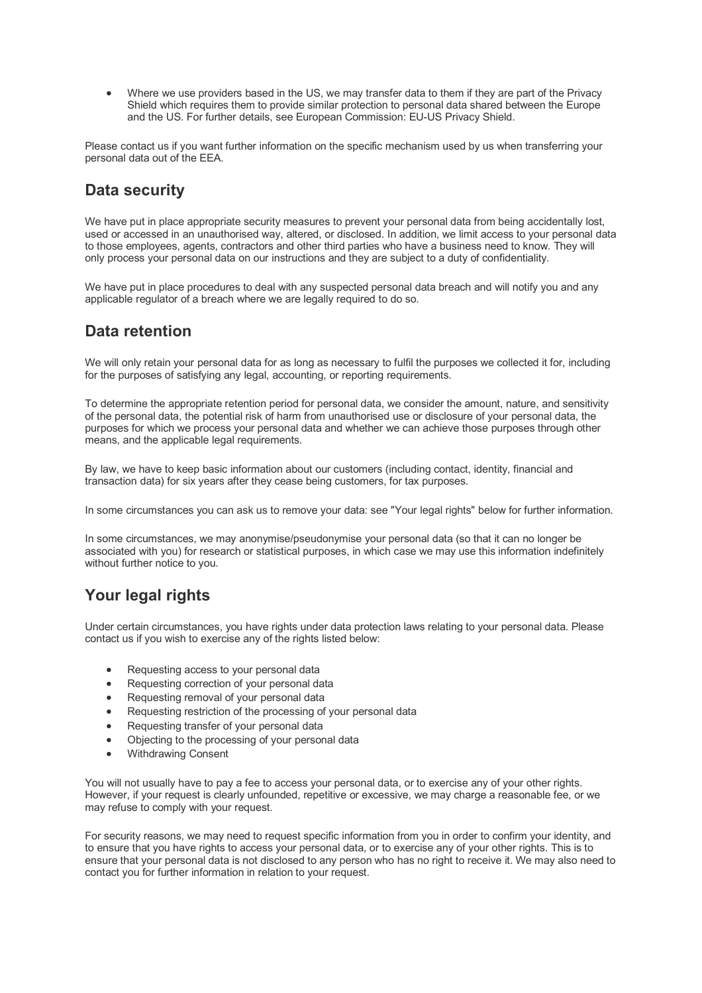• Where we use providers based in the US, we may transfer data to them if they are part of the Privacy Shield which requires them to provide similar protection to personal data shared between the Europe and the US. For further details, see European Commission: EU-US Privacy Shield.

Please contact us if you want further information on the specific mechanism used by us when transferring your personal data out of the EEA.

# **Data security**

We have put in place appropriate security measures to prevent your personal data from being accidentally lost, used or accessed in an unauthorised way, altered, or disclosed. In addition, we limit access to your personal data to those employees, agents, contractors and other third parties who have a business need to know. They will only process your personal data on our instructions and they are subject to a duty of confidentiality.

We have put in place procedures to deal with any suspected personal data breach and will notify you and any applicable regulator of a breach where we are legally required to do so.

# **Data retention**

We will only retain your personal data for as long as necessary to fulfil the purposes we collected it for, including for the purposes of satisfying any legal, accounting, or reporting requirements.

To determine the appropriate retention period for personal data, we consider the amount, nature, and sensitivity of the personal data, the potential risk of harm from unauthorised use or disclosure of your personal data, the purposes for which we process your personal data and whether we can achieve those purposes through other means, and the applicable legal requirements.

By law, we have to keep basic information about our customers (including contact, identity, financial and transaction data) for six years after they cease being customers, for tax purposes.

In some circumstances you can ask us to remove your data: see "Your legal rights" below for further information.

In some circumstances, we may anonymise/pseudonymise your personal data (so that it can no longer be associated with you) for research or statistical purposes, in which case we may use this information indefinitely without further notice to you.

# **Your legal rights**

Under certain circumstances, you have rights under data protection laws relating to your personal data. Please contact us if you wish to exercise any of the rights listed below:

- Requesting access to your personal data
- Requesting correction of your personal data
- Requesting removal of your personal data
- Requesting restriction of the processing of your personal data
- Requesting transfer of your personal data
- Objecting to the processing of your personal data
- Withdrawing Consent

You will not usually have to pay a fee to access your personal data, or to exercise any of your other rights. However, if your request is clearly unfounded, repetitive or excessive, we may charge a reasonable fee, or we may refuse to comply with your request.

For security reasons, we may need to request specific information from you in order to confirm your identity, and to ensure that you have rights to access your personal data, or to exercise any of your other rights. This is to ensure that your personal data is not disclosed to any person who has no right to receive it. We may also need to contact you for further information in relation to your request.